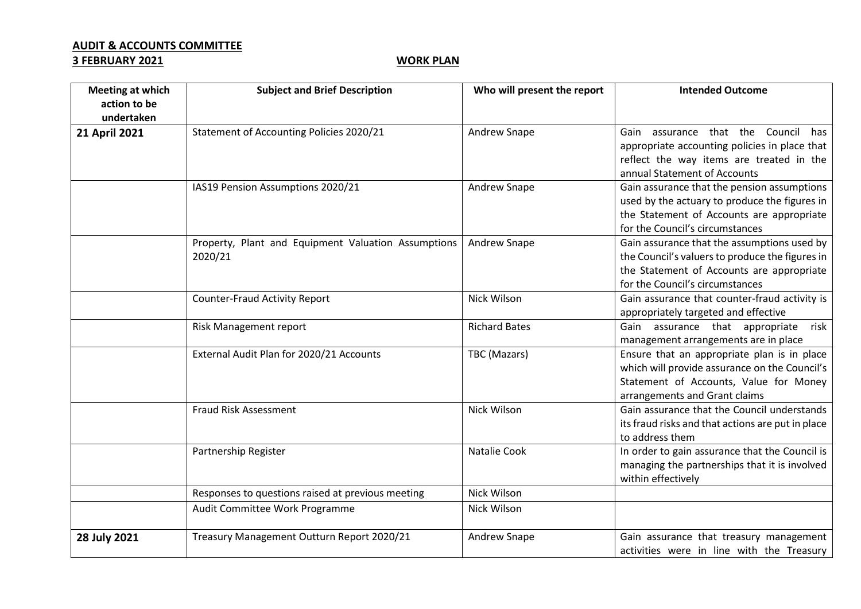## **AUDIT & ACCOUNTS COMMITTEE**

## **3 FEBRUARY 2021** WORK PLAN

| <b>Meeting at which</b><br>action to be<br>undertaken | <b>Subject and Brief Description</b>                           | Who will present the report | <b>Intended Outcome</b>                                                                                                                                                        |
|-------------------------------------------------------|----------------------------------------------------------------|-----------------------------|--------------------------------------------------------------------------------------------------------------------------------------------------------------------------------|
| 21 April 2021                                         | <b>Statement of Accounting Policies 2020/21</b>                | Andrew Snape                | Gain assurance that the Council<br>has<br>appropriate accounting policies in place that<br>reflect the way items are treated in the<br>annual Statement of Accounts            |
|                                                       | IAS19 Pension Assumptions 2020/21                              | Andrew Snape                | Gain assurance that the pension assumptions<br>used by the actuary to produce the figures in<br>the Statement of Accounts are appropriate<br>for the Council's circumstances   |
|                                                       | Property, Plant and Equipment Valuation Assumptions<br>2020/21 | Andrew Snape                | Gain assurance that the assumptions used by<br>the Council's valuers to produce the figures in<br>the Statement of Accounts are appropriate<br>for the Council's circumstances |
|                                                       | <b>Counter-Fraud Activity Report</b>                           | Nick Wilson                 | Gain assurance that counter-fraud activity is<br>appropriately targeted and effective                                                                                          |
|                                                       | Risk Management report                                         | <b>Richard Bates</b>        | Gain assurance that appropriate<br>risk<br>management arrangements are in place                                                                                                |
|                                                       | External Audit Plan for 2020/21 Accounts                       | TBC (Mazars)                | Ensure that an appropriate plan is in place<br>which will provide assurance on the Council's<br>Statement of Accounts, Value for Money<br>arrangements and Grant claims        |
|                                                       | <b>Fraud Risk Assessment</b>                                   | Nick Wilson                 | Gain assurance that the Council understands<br>its fraud risks and that actions are put in place<br>to address them                                                            |
|                                                       | Partnership Register                                           | Natalie Cook                | In order to gain assurance that the Council is<br>managing the partnerships that it is involved<br>within effectively                                                          |
|                                                       | Responses to questions raised at previous meeting              | Nick Wilson                 |                                                                                                                                                                                |
|                                                       | Audit Committee Work Programme                                 | Nick Wilson                 |                                                                                                                                                                                |
| 28 July 2021                                          | Treasury Management Outturn Report 2020/21                     | Andrew Snape                | Gain assurance that treasury management<br>activities were in line with the Treasury                                                                                           |